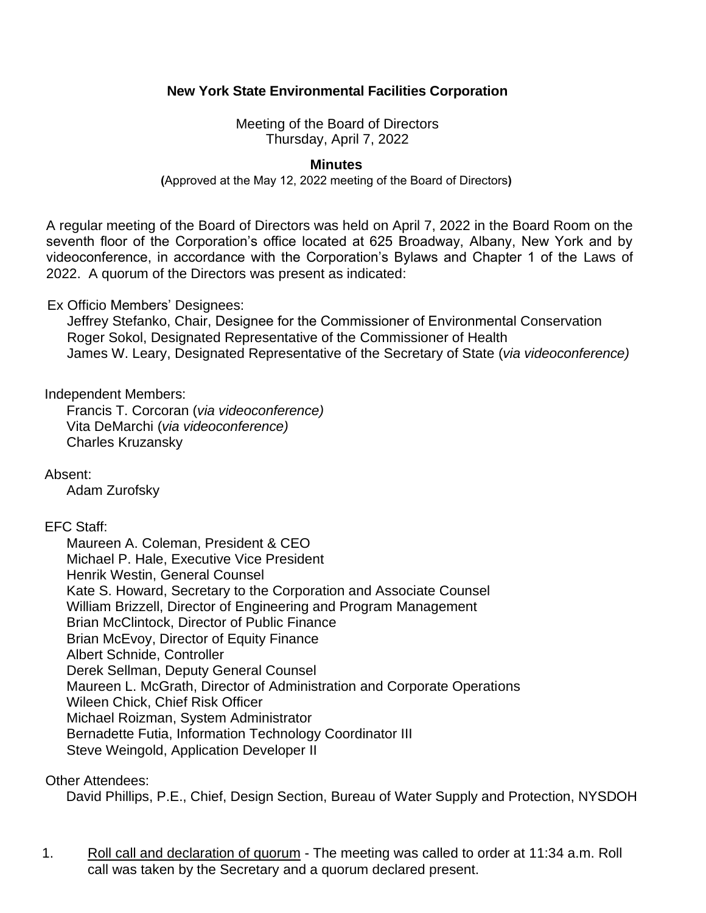# **New York State Environmental Facilities Corporation**

 Meeting of the Board of Directors Thursday, April 7, 2022

#### **Minutes**

**(**Approved at the May 12, 2022 meeting of the Board of Directors**)**

 A regular meeting of the Board of Directors was held on April 7, 2022 in the Board Room on the seventh floor of the Corporation's office located at 625 Broadway, Albany, New York and by videoconference, in accordance with the Corporation's Bylaws and Chapter 1 of the Laws of 2022. A quorum of the Directors was present as indicated:

#### Ex Officio Members' Designees:

Jeffrey Stefanko, Chair, Designee for the Commissioner of Environmental Conservation Roger Sokol, Designated Representative of the Commissioner of Health James W. Leary, Designated Representative of the Secretary of State (*via videoconference)* 

Independent Members:

Francis T. Corcoran (*via videoconference)*  Vita DeMarchi (*via videoconference)*  Charles Kruzansky

Absent:

Adam Zurofsky

## EFC Staff:

 Kate S. Howard, Secretary to the Corporation and Associate Counsel Brian McEvoy, Director of Equity Finance<br>Albert Schnide, Controller Maureen A. Coleman, President & CEO Michael P. Hale, Executive Vice President Henrik Westin, General Counsel William Brizzell, Director of Engineering and Program Management Brian McClintock, Director of Public Finance Derek Sellman, Deputy General Counsel Maureen L. McGrath, Director of Administration and Corporate Operations Wileen Chick, Chief Risk Officer Michael Roizman, System Administrator Bernadette Futia, Information Technology Coordinator III Steve Weingold, Application Developer II

## Other Attendees:

David Phillips, P.E., Chief, Design Section, Bureau of Water Supply and Protection, NYSDOH

 call was taken by the Secretary and a quorum declared present. 1. Roll call and declaration of quorum - The meeting was called to order at 11:34 a.m. Roll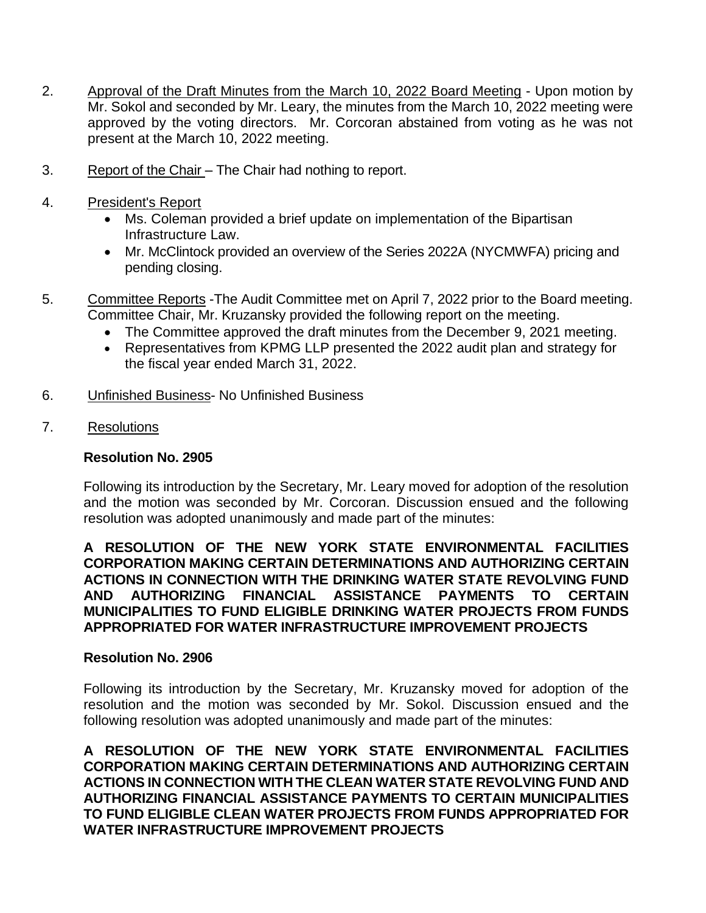- Approval of the Draft Minutes from the March 10, 2022 Board Meeting Upon motion by Mr. Sokol and seconded by Mr. Leary, the minutes from the March 10, 2022 meeting were approved by the voting directors. Mr. Corcoran abstained from voting as he was not 2. present at the March 10, 2022 meeting.
- Report of the Chair The Chair had nothing to report. 3.
- 4. President's Report
	- Ms. Coleman provided a brief update on implementation of the Bipartisan Infrastructure Law.
	- • Mr. McClintock provided an overview of the Series 2022A (NYCMWFA) pricing and pending closing.
- Committee Reports The Audit Committee met on April 7, 2022 prior to the Board meeting. 5. Committee Chair, Mr. Kruzansky provided the following report on the meeting.
	- The Committee approved the draft minutes from the December 9, 2021 meeting.
	- • Representatives from KPMG LLP presented the 2022 audit plan and strategy for the fiscal year ended March 31, 2022.
- 6. Unfinished Business- No Unfinished Business
- 7. Resolutions

## **Resolution No. 2905**

 Following its introduction by the Secretary, Mr. Leary moved for adoption of the resolution and the motion was seconded by Mr. Corcoran. Discussion ensued and the following resolution was adopted unanimously and made part of the minutes:

#### **A RESOLUTION OF THE NEW YORK STATE ENVIRONMENTAL FACILITIES CORPORATION MAKING CERTAIN DETERMINATIONS AND AUTHORIZING CERTAIN ACTIONS IN CONNECTION WITH THE DRINKING WATER STATE REVOLVING FUND AND AUTHORIZING FINANCIAL ASSISTANCE PAYMENTS TO CERTAIN MUNICIPALITIES TO FUND ELIGIBLE DRINKING WATER PROJECTS FROM FUNDS APPROPRIATED FOR WATER INFRASTRUCTURE IMPROVEMENT PROJECTS**

## **Resolution No. 2906**

 Following its introduction by the Secretary, Mr. Kruzansky moved for adoption of the resolution and the motion was seconded by Mr. Sokol. Discussion ensued and the following resolution was adopted unanimously and made part of the minutes:

 **A RESOLUTION OF THE NEW YORK STATE ENVIRONMENTAL FACILITIES CORPORATION MAKING CERTAIN DETERMINATIONS AND AUTHORIZING CERTAIN ACTIONS IN CONNECTION WITH THE CLEAN WATER STATE REVOLVING FUND AND AUTHORIZING FINANCIAL ASSISTANCE PAYMENTS TO CERTAIN MUNICIPALITIES TO FUND ELIGIBLE CLEAN WATER PROJECTS FROM FUNDS APPROPRIATED FOR WATER INFRASTRUCTURE IMPROVEMENT PROJECTS**